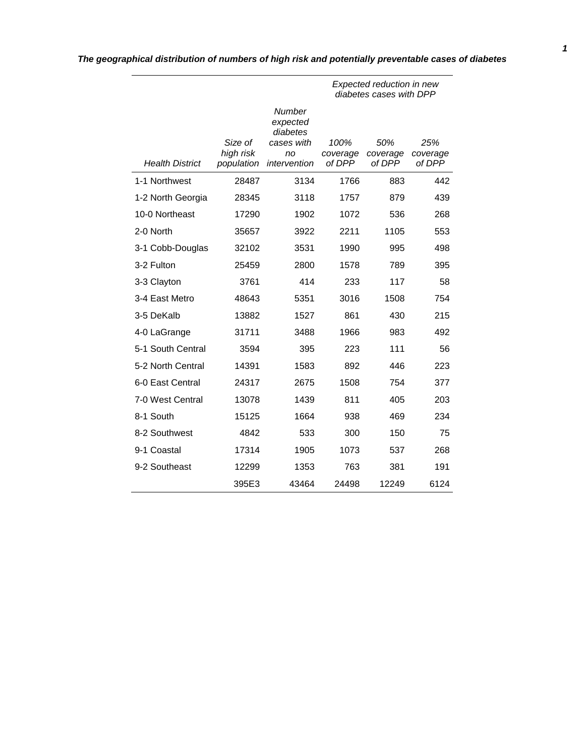|                        |                                    |                                                                    | Expected reduction in new<br>diabetes cases with DPP |                           |                           |  |  |
|------------------------|------------------------------------|--------------------------------------------------------------------|------------------------------------------------------|---------------------------|---------------------------|--|--|
| <b>Health District</b> | Size of<br>high risk<br>population | Number<br>expected<br>diabetes<br>cases with<br>no<br>intervention | 100%<br>coverage<br>of DPP                           | 50%<br>coverage<br>of DPP | 25%<br>coverage<br>of DPP |  |  |
| 1-1 Northwest          | 28487                              | 3134                                                               | 1766                                                 | 883                       | 442                       |  |  |
|                        |                                    |                                                                    |                                                      |                           |                           |  |  |
| 1-2 North Georgia      | 28345                              | 3118                                                               | 1757                                                 | 879                       | 439                       |  |  |
| 10-0 Northeast         | 17290                              | 1902                                                               | 1072                                                 | 536                       | 268                       |  |  |
| 2-0 North              | 35657                              | 3922                                                               | 2211                                                 | 1105                      | 553                       |  |  |
| 3-1 Cobb-Douglas       | 32102                              | 3531                                                               | 1990                                                 | 995                       | 498                       |  |  |
| 3-2 Fulton             | 25459                              | 2800                                                               | 1578                                                 | 789                       | 395                       |  |  |
| 3-3 Clayton            | 3761                               | 414                                                                | 233                                                  | 117                       | 58                        |  |  |
| 3-4 East Metro         | 48643                              | 5351                                                               | 3016                                                 | 1508                      | 754                       |  |  |
| 3-5 DeKalb             | 13882                              | 1527                                                               | 861                                                  | 430                       | 215                       |  |  |
| 4-0 LaGrange           | 31711                              | 3488                                                               | 1966                                                 | 983                       | 492                       |  |  |
| 5-1 South Central      | 3594                               | 395                                                                | 223                                                  | 111                       | 56                        |  |  |
| 5-2 North Central      | 14391                              | 1583                                                               | 892                                                  | 446                       | 223                       |  |  |
| 6-0 East Central       | 24317                              | 2675                                                               | 1508                                                 | 754                       | 377                       |  |  |
| 7-0 West Central       | 13078                              | 1439                                                               | 811                                                  | 405                       | 203                       |  |  |
| 8-1 South              | 15125                              | 1664                                                               | 938                                                  | 469                       | 234                       |  |  |
| 8-2 Southwest          | 4842                               | 533                                                                | 300                                                  | 150                       | 75                        |  |  |
| 9-1 Coastal            | 17314                              | 1905                                                               | 1073                                                 | 537                       | 268                       |  |  |

9-2 Southeast 12299 1353 763 381 191

395E3 43464 24498 12249 6124

# *The geographical distribution of numbers of high risk and potentially preventable cases of diabetes*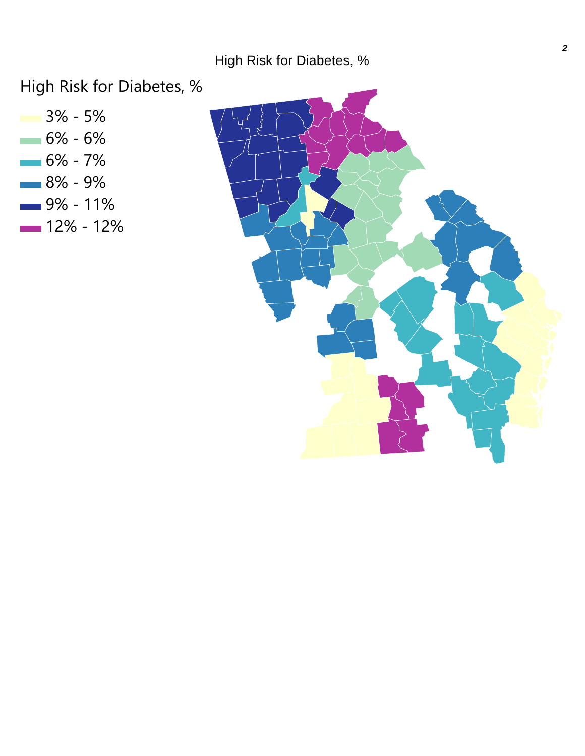High Risk for Diabetes, %

3% - 5%  $-6% - 6%$  $-6% - 7%$ 8% - 9%  $-9% - 11%$  $-12% - 12%$ 

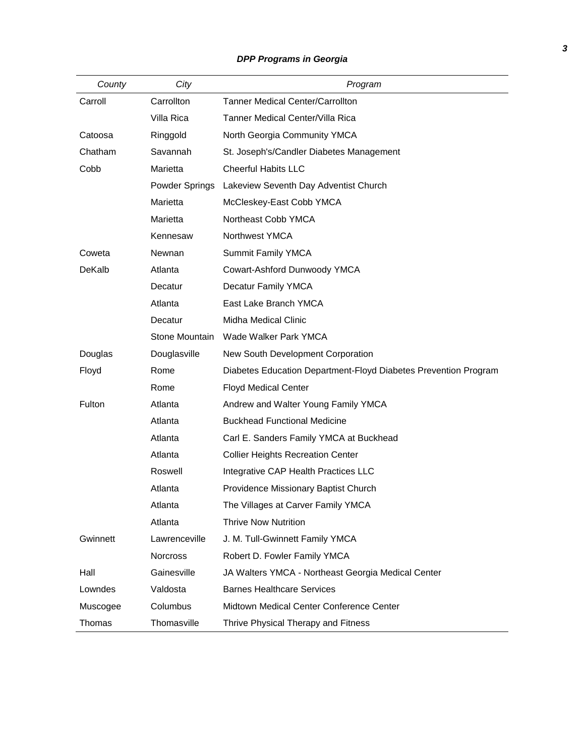# *DPP Programs in Georgia*

| County   | City            | Program                                                         |
|----------|-----------------|-----------------------------------------------------------------|
| Carroll  | Carrollton      | <b>Tanner Medical Center/Carrollton</b>                         |
|          | Villa Rica      | Tanner Medical Center/Villa Rica                                |
| Catoosa  | Ringgold        | North Georgia Community YMCA                                    |
| Chatham  | Savannah        | St. Joseph's/Candler Diabetes Management                        |
| Cobb     | Marietta        | <b>Cheerful Habits LLC</b>                                      |
|          | Powder Springs  | Lakeview Seventh Day Adventist Church                           |
|          | Marietta        | McCleskey-East Cobb YMCA                                        |
|          | Marietta        | Northeast Cobb YMCA                                             |
|          | Kennesaw        | Northwest YMCA                                                  |
| Coweta   | Newnan          | Summit Family YMCA                                              |
| DeKalb   | Atlanta         | Cowart-Ashford Dunwoody YMCA                                    |
|          | Decatur         | Decatur Family YMCA                                             |
|          | Atlanta         | East Lake Branch YMCA                                           |
|          | Decatur         | Midha Medical Clinic                                            |
|          | Stone Mountain  | Wade Walker Park YMCA                                           |
| Douglas  | Douglasville    | New South Development Corporation                               |
| Floyd    | Rome            | Diabetes Education Department-Floyd Diabetes Prevention Program |
|          | Rome            | <b>Floyd Medical Center</b>                                     |
| Fulton   | Atlanta         | Andrew and Walter Young Family YMCA                             |
|          | Atlanta         | <b>Buckhead Functional Medicine</b>                             |
|          | Atlanta         | Carl E. Sanders Family YMCA at Buckhead                         |
|          | Atlanta         | <b>Collier Heights Recreation Center</b>                        |
|          | Roswell         | Integrative CAP Health Practices LLC                            |
|          | Atlanta         | Providence Missionary Baptist Church                            |
|          | Atlanta         | The Villages at Carver Family YMCA                              |
|          | Atlanta         | <b>Thrive Now Nutrition</b>                                     |
| Gwinnett | Lawrenceville   | J. M. Tull-Gwinnett Family YMCA                                 |
|          | <b>Norcross</b> | Robert D. Fowler Family YMCA                                    |
| Hall     | Gainesville     | JA Walters YMCA - Northeast Georgia Medical Center              |
| Lowndes  | Valdosta        | <b>Barnes Healthcare Services</b>                               |
| Muscogee | Columbus        | Midtown Medical Center Conference Center                        |
| Thomas   | Thomasville     | Thrive Physical Therapy and Fitness                             |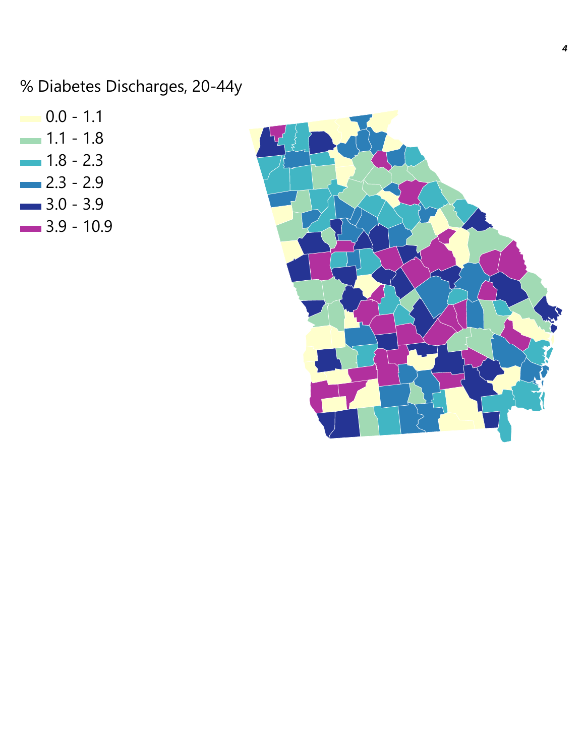% Diabetes Discharges, 20-44y

 $\blacksquare$  0.0 - 1.1  $- 1.1 - 1.8$  $- 1.8 - 2.3$  $-2.3 - 2.9$  $-3.0 - 3.9$  $- 3.9 - 10.9$ 

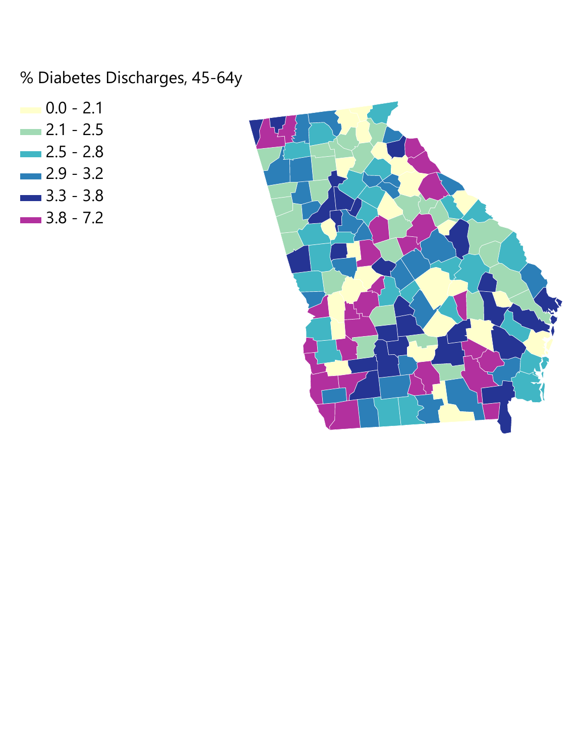% Diabetes Discharges, 45-64y

- $0.0 2.1$
- $-2.1 2.5$
- $-2.5 2.8$
- $-2.9 3.2$
- $-3.3 3.8$  $-3.8 - 7.2$

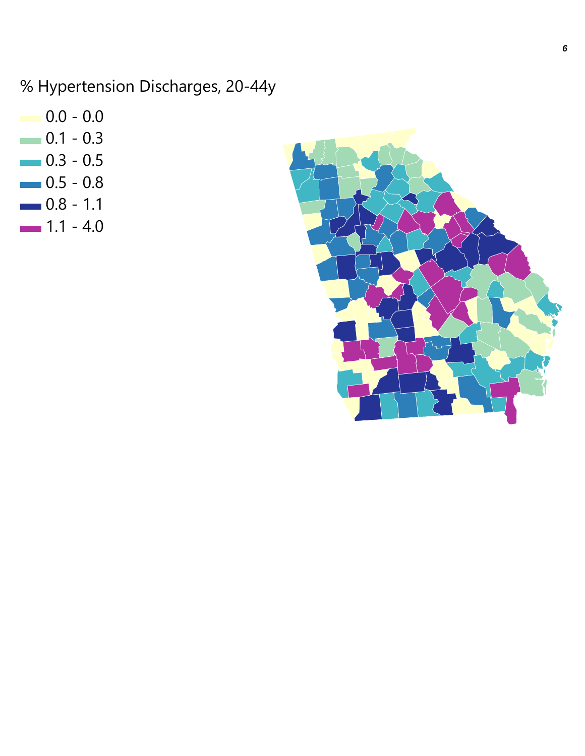% Hypertension Discharges, 20-44y

- $0.0 0.0$
- $0.1 0.3$
- $-0.3 0.5$
- $0.5 0.8$
- $0.8 1.1$
- $-1.1 4.0$

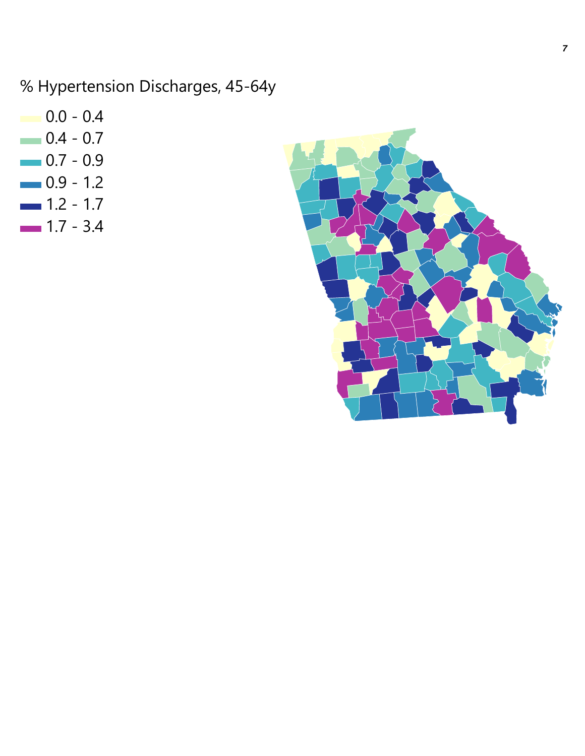% Hypertension Discharges, 45-64y

- $0.0 0.4$  $0.4 - 0.7$
- $-0.7 0.9$
- $0.9 1.2$
- $1.2 1.7$
- $1.7 3.4$

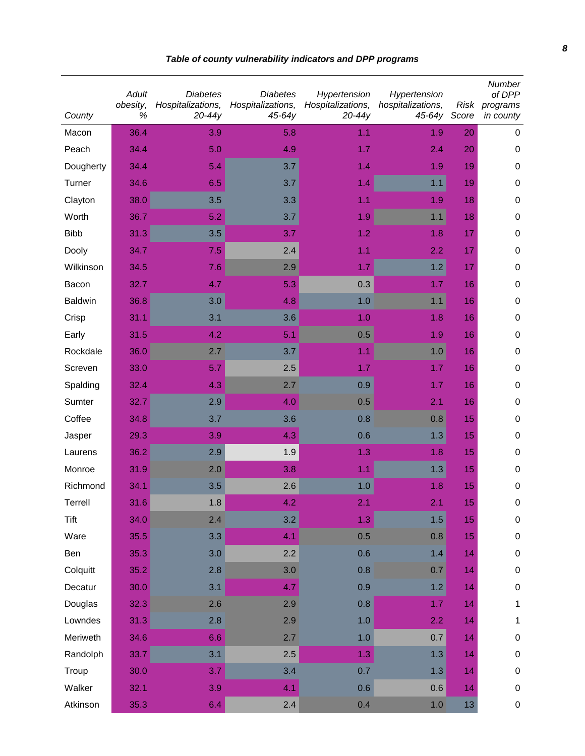| County         | <b>Adult</b><br>obesity,<br>% | <b>Diabetes</b><br>Hospitalizations,<br>$20 - 44y$ | <b>Diabetes</b><br>Hospitalizations,<br>$45-64y$ | Hypertension<br>Hospitalizations,<br>$20-44y$ | Hypertension<br>hospitalizations,<br>45-64y Score | Risk | Number<br>of DPP<br>programs<br>in county |
|----------------|-------------------------------|----------------------------------------------------|--------------------------------------------------|-----------------------------------------------|---------------------------------------------------|------|-------------------------------------------|
| Macon          | 36.4                          | 3.9                                                | 5.8                                              | 1.1                                           | 1.9                                               | 20   | 0                                         |
| Peach          | 34.4                          | 5.0                                                | 4.9                                              | 1.7                                           | 2.4                                               | 20   | $\mathbf 0$                               |
| Dougherty      | 34.4                          | 5.4                                                | 3.7                                              | 1.4                                           | 1.9                                               | 19   | $\pmb{0}$                                 |
| Turner         | 34.6                          | 6.5                                                | 3.7                                              | 1.4                                           | 1.1                                               | 19   | $\pmb{0}$                                 |
| Clayton        | 38.0                          | 3.5                                                | 3.3                                              | 1.1                                           | 1.9                                               | 18   | $\pmb{0}$                                 |
| Worth          | 36.7                          | 5.2                                                | 3.7                                              | 1.9                                           | 1.1                                               | 18   | $\pmb{0}$                                 |
| <b>Bibb</b>    | 31.3                          | 3.5                                                | 3.7                                              | 1.2                                           | 1.8                                               | 17   | $\pmb{0}$                                 |
| Dooly          | 34.7                          | 7.5                                                | 2.4                                              | 1.1                                           | 2.2                                               | 17   | 0                                         |
| Wilkinson      | 34.5                          | 7.6                                                | 2.9                                              | 1.7                                           | 1.2                                               | 17   | $\pmb{0}$                                 |
| Bacon          | 32.7                          | 4.7                                                | 5.3                                              | 0.3                                           | 1.7                                               | 16   | $\pmb{0}$                                 |
| <b>Baldwin</b> | 36.8                          | 3.0                                                | 4.8                                              | 1.0                                           | 1.1                                               | 16   | $\mathbf 0$                               |
| Crisp          | 31.1                          | 3.1                                                | 3.6                                              | 1.0                                           | 1.8                                               | 16   | $\mathbf 0$                               |
| Early          | 31.5                          | 4.2                                                | 5.1                                              | 0.5                                           | 1.9                                               | 16   | $\mathbf 0$                               |
| Rockdale       | 36.0                          | 2.7                                                | 3.7                                              | 1.1                                           | 1.0                                               | 16   | 0                                         |
| Screven        | 33.0                          | 5.7                                                | 2.5                                              | 1.7                                           | 1.7                                               | 16   | $\pmb{0}$                                 |
| Spalding       | 32.4                          | 4.3                                                | 2.7                                              | 0.9                                           | 1.7                                               | 16   | $\pmb{0}$                                 |
| Sumter         | 32.7                          | 2.9                                                | 4.0                                              | 0.5                                           | 2.1                                               | 16   | $\pmb{0}$                                 |
| Coffee         | 34.8                          | 3.7                                                | 3.6                                              | 0.8                                           | 0.8                                               | 15   | $\pmb{0}$                                 |
| Jasper         | 29.3                          | 3.9                                                | 4.3                                              | 0.6                                           | 1.3                                               | 15   | $\pmb{0}$                                 |
| Laurens        | 36.2                          | 2.9                                                | 1.9                                              | 1.3                                           | 1.8                                               | 15   | $\pmb{0}$                                 |
| Monroe         | 31.9                          | 2.0                                                | 3.8                                              | 1.1                                           | 1.3                                               | 15   | $\pmb{0}$                                 |
| Richmond       | 34.1                          | 3.5                                                | 2.6                                              | 1.0                                           | 1.8                                               | 15   | $\pmb{0}$                                 |
| Terrell        | 31.6                          | $1.8\,$                                            | 4.2                                              | 2.1                                           | 2.1                                               | 15   | 0                                         |
| <b>Tift</b>    | 34.0                          | 2.4                                                | 3.2                                              | 1.3                                           | 1.5                                               | 15   | $\pmb{0}$                                 |
| Ware           | 35.5                          | 3.3                                                | 4.1                                              | 0.5                                           | 0.8                                               | 15   | $\pmb{0}$                                 |
| Ben            | 35.3                          | 3.0                                                | 2.2                                              | 0.6                                           | 1.4                                               | 14   | $\pmb{0}$                                 |
| Colquitt       | 35.2                          | 2.8                                                | 3.0                                              | 0.8                                           | 0.7                                               | 14   | $\pmb{0}$                                 |
| Decatur        | 30.0                          | 3.1                                                | 4.7                                              | 0.9                                           | 1.2                                               | 14   | $\pmb{0}$                                 |
| Douglas        | 32.3                          | 2.6                                                | 2.9                                              | 0.8                                           | 1.7                                               | 14   | 1                                         |
| Lowndes        | 31.3                          | 2.8                                                | 2.9                                              | 1.0                                           | 2.2                                               | 14   | 1                                         |
| Meriweth       | 34.6                          | 6.6                                                | 2.7                                              | 1.0                                           | 0.7                                               | 14   | $\pmb{0}$                                 |
| Randolph       | 33.7                          | 3.1                                                | 2.5                                              | 1.3                                           | 1.3                                               | 14   | $\pmb{0}$                                 |
| Troup          | 30.0                          | 3.7                                                | 3.4                                              | 0.7                                           | 1.3                                               | 14   | $\pmb{0}$                                 |
| Walker         | 32.1                          | 3.9                                                | 4.1                                              | 0.6                                           | 0.6                                               | 14   | $\pmb{0}$                                 |
| Atkinson       | 35.3                          | 6.4                                                | 2.4                                              | 0.4                                           | $1.0$                                             | 13   | $\pmb{0}$                                 |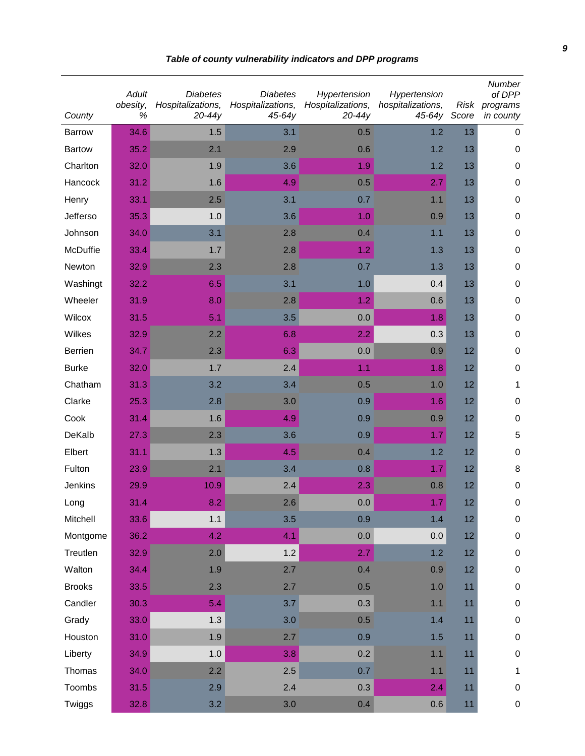| County        | <b>Adult</b><br>obesity,<br>$\%$ | <b>Diabetes</b><br>Hospitalizations,<br>$20-44y$ | <b>Diabetes</b><br>Hospitalizations,<br>$45-64y$ | Hypertension<br>Hospitalizations,<br>$20-44y$ | Hypertension<br>hospitalizations,<br>45-64y Score | Risk | Number<br>of DPP<br>programs<br>in county |
|---------------|----------------------------------|--------------------------------------------------|--------------------------------------------------|-----------------------------------------------|---------------------------------------------------|------|-------------------------------------------|
| <b>Barrow</b> | 34.6                             | 1.5                                              | 3.1                                              | 0.5                                           | 1.2                                               | 13   | $\mathbf 0$                               |
| <b>Bartow</b> | 35.2                             | 2.1                                              | 2.9                                              | 0.6                                           | 1.2                                               | 13   | $\mathbf 0$                               |
| Charlton      | 32.0                             | 1.9                                              | 3.6                                              | 1.9                                           | 1.2                                               | 13   | 0                                         |
| Hancock       | 31.2                             | 1.6                                              | 4.9                                              | 0.5                                           | 2.7                                               | 13   | 0                                         |
| Henry         | 33.1                             | 2.5                                              | 3.1                                              | 0.7                                           | 1.1                                               | 13   | 0                                         |
| Jefferso      | 35.3                             | 1.0                                              | 3.6                                              | 1.0                                           | 0.9                                               | 13   | 0                                         |
| Johnson       | 34.0                             | 3.1                                              | 2.8                                              | 0.4                                           | 1.1                                               | 13   | 0                                         |
| McDuffie      | 33.4                             | 1.7                                              | 2.8                                              | 1.2                                           | 1.3                                               | 13   | 0                                         |
| Newton        | 32.9                             | 2.3                                              | 2.8                                              | 0.7                                           | 1.3                                               | 13   | $\pmb{0}$                                 |
| Washingt      | 32.2                             | 6.5                                              | 3.1                                              | 1.0                                           | 0.4                                               | 13   | $\pmb{0}$                                 |
| Wheeler       | 31.9                             | 8.0                                              | 2.8                                              | 1.2                                           | 0.6                                               | 13   | $\pmb{0}$                                 |
| Wilcox        | 31.5                             | 5.1                                              | 3.5                                              | 0.0                                           | 1.8                                               | 13   | $\pmb{0}$                                 |
| Wilkes        | 32.9                             | 2.2                                              | 6.8                                              | 2.2                                           | 0.3                                               | 13   | $\pmb{0}$                                 |
| Berrien       | 34.7                             | 2.3                                              | 6.3                                              | 0.0                                           | 0.9                                               | 12   | $\pmb{0}$                                 |
| <b>Burke</b>  | 32.0                             | 1.7                                              | 2.4                                              | 1.1                                           | 1.8                                               | 12   | $\pmb{0}$                                 |
| Chatham       | 31.3                             | 3.2                                              | 3.4                                              | 0.5                                           | 1.0                                               | 12   | $\mathbf{1}$                              |
| Clarke        | 25.3                             | 2.8                                              | 3.0                                              | 0.9                                           | 1.6                                               | 12   | $\pmb{0}$                                 |
| Cook          | 31.4                             | 1.6                                              | 4.9                                              | 0.9                                           | 0.9                                               | 12   | $\pmb{0}$                                 |
| DeKalb        | 27.3                             | 2.3                                              | 3.6                                              | 0.9                                           | 1.7                                               | 12   | 5                                         |
| Elbert        | 31.1                             | 1.3                                              | 4.5                                              | 0.4                                           | 1.2                                               | 12   | 0                                         |
| Fulton        | 23.9                             | 2.1                                              | 3.4                                              | 0.8                                           | 1.7                                               | 12   | 8                                         |
| Jenkins       | 29.9                             | 10.9                                             | 2.4                                              | 2.3                                           | 0.8                                               | 12   | $\pmb{0}$                                 |
| Long          | 31.4                             | 8.2                                              | 2.6                                              | 0.0                                           | 1.7                                               | 12   | $\pmb{0}$                                 |
| Mitchell      | 33.6                             | 1.1                                              | 3.5                                              | 0.9                                           | 1.4                                               | 12   | $\pmb{0}$                                 |
| Montgome      | 36.2                             | 4.2                                              | 4.1                                              | 0.0                                           | 0.0                                               | 12   | $\pmb{0}$                                 |
| Treutlen      | 32.9                             | 2.0                                              | 1.2                                              | 2.7                                           | 1.2                                               | 12   | $\pmb{0}$                                 |
| Walton        | 34.4                             | 1.9                                              | 2.7                                              | 0.4                                           | 0.9                                               | 12   | $\pmb{0}$                                 |
| <b>Brooks</b> | 33.5                             | 2.3                                              | 2.7                                              | 0.5                                           | 1.0                                               | 11   | $\pmb{0}$                                 |
| Candler       | 30.3                             | 5.4                                              | 3.7                                              | 0.3                                           | 1.1                                               | 11   | $\pmb{0}$                                 |
| Grady         | 33.0                             | 1.3                                              | 3.0                                              | 0.5                                           | 1.4                                               | 11   | $\pmb{0}$                                 |
| Houston       | 31.0                             | 1.9                                              | 2.7                                              | 0.9                                           | 1.5                                               | 11   | $\pmb{0}$                                 |
| Liberty       | 34.9                             | 1.0                                              | 3.8                                              | 0.2                                           | 1.1                                               | 11   | $\pmb{0}$                                 |
| Thomas        | 34.0                             | 2.2                                              | 2.5                                              | 0.7                                           | 1.1                                               | 11   | $\mathbf{1}$                              |
| Toombs        | 31.5                             | 2.9                                              | 2.4                                              | 0.3                                           | 2.4                                               | 11   | $\pmb{0}$                                 |
| Twiggs        | 32.8                             | 3.2                                              | 3.0                                              | 0.4                                           | 0.6                                               | $11$ | $\pmb{0}$                                 |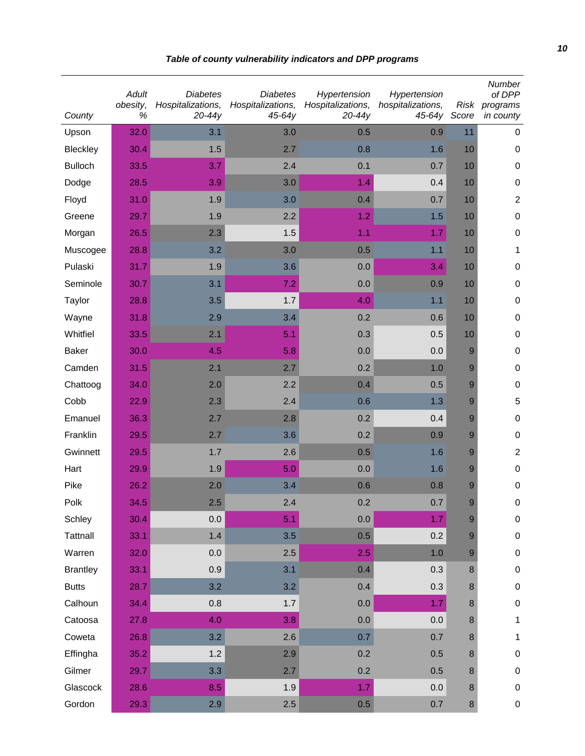| County          | Adult<br>obesity,<br>$\%$ | <b>Diabetes</b><br>Hospitalizations,<br>$20 - 44y$ | <b>Diabetes</b><br>Hospitalizations,<br>$45-64y$ | Hypertension<br>Hospitalizations,<br>$20-44y$ | Hypertension<br>hospitalizations,<br>45-64y | Risk<br>Score | Number<br>of DPP<br>programs<br>in county |
|-----------------|---------------------------|----------------------------------------------------|--------------------------------------------------|-----------------------------------------------|---------------------------------------------|---------------|-------------------------------------------|
| Upson           | 32.0                      | 3.1                                                | 3.0                                              | 0.5                                           | 0.9                                         | 11            | $\mathbf 0$                               |
| Bleckley        | 30.4                      | 1.5                                                | 2.7                                              | 0.8                                           | 1.6                                         | 10            | $\mathbf 0$                               |
| <b>Bulloch</b>  | 33.5                      | 3.7                                                | 2.4                                              | 0.1                                           | 0.7                                         | 10            | 0                                         |
| Dodge           | 28.5                      | 3.9                                                | 3.0                                              | 1.4                                           | 0.4                                         | 10            | $\pmb{0}$                                 |
| Floyd           | 31.0                      | 1.9                                                | 3.0                                              | 0.4                                           | 0.7                                         | 10            | $\overline{2}$                            |
| Greene          | 29.7                      | 1.9                                                | 2.2                                              | 1.2                                           | 1.5                                         | 10            | $\pmb{0}$                                 |
| Morgan          | 26.5                      | 2.3                                                | 1.5                                              | 1.1                                           | 1.7                                         | 10            | $\pmb{0}$                                 |
| Muscogee        | 28.8                      | 3.2                                                | 3.0                                              | 0.5                                           | 1.1                                         | 10            | 1                                         |
| Pulaski         | 31.7                      | 1.9                                                | 3.6                                              | 0.0                                           | 3.4                                         | 10            | $\mathbf 0$                               |
| Seminole        | 30.7                      | 3.1                                                | 7.2                                              | 0.0                                           | 0.9                                         | 10            | $\pmb{0}$                                 |
| Taylor          | 28.8                      | 3.5                                                | 1.7                                              | 4.0                                           | 1.1                                         | 10            | $\pmb{0}$                                 |
| Wayne           | 31.8                      | 2.9                                                | 3.4                                              | 0.2                                           | 0.6                                         | 10            | $\pmb{0}$                                 |
| Whitfiel        | 33.5                      | 2.1                                                | 5.1                                              | 0.3                                           | 0.5                                         | 10            | $\pmb{0}$                                 |
| <b>Baker</b>    | 30.0                      | 4.5                                                | 5.8                                              | 0.0                                           | 0.0                                         | 9             | $\pmb{0}$                                 |
| Camden          | 31.5                      | 2.1                                                | 2.7                                              | 0.2                                           | 1.0                                         | 9             | $\pmb{0}$                                 |
| Chattoog        | 34.0                      | 2.0                                                | 2.2                                              | 0.4                                           | 0.5                                         | 9             | $\pmb{0}$                                 |
| Cobb            | 22.9                      | 2.3                                                | 2.4                                              | 0.6                                           | 1.3                                         | 9             | 5                                         |
| Emanuel         | 36.3                      | 2.7                                                | 2.8                                              | 0.2                                           | 0.4                                         | 9             | $\pmb{0}$                                 |
| Franklin        | 29.5                      | 2.7                                                | 3.6                                              | 0.2                                           | 0.9                                         | 9             | $\pmb{0}$                                 |
| Gwinnett        | 29.5                      | 1.7                                                | 2.6                                              | 0.5                                           | 1.6                                         | 9             | $\overline{c}$                            |
| Hart            | 29.9                      | 1.9                                                | 5.0                                              | 0.0                                           | 1.6                                         | 9             | 0                                         |
| Pike            | 26.2                      | 2.0                                                | 3.4                                              | 0.6                                           | 0.8                                         | 9             | $\pmb{0}$                                 |
| Polk            | 34.5                      | 2.5                                                | 2.4                                              | 0.2                                           | 0.7                                         | 9             | 0                                         |
| Schley          | 30.4                      | 0.0                                                | 5.1                                              | 0.0                                           | 1.7                                         | 9             | $\pmb{0}$                                 |
| <b>Tattnall</b> | 33.1                      | 1.4                                                | 3.5                                              | 0.5                                           | 0.2                                         | 9             | $\pmb{0}$                                 |
| Warren          | 32.0                      | 0.0                                                | 2.5                                              | 2.5                                           | 1.0                                         | 9             | $\mathbf 0$                               |
| <b>Brantley</b> | 33.1                      | 0.9                                                | 3.1                                              | 0.4                                           | 0.3                                         | 8             | $\pmb{0}$                                 |
| <b>Butts</b>    | 28.7                      | 3.2                                                | 3.2                                              | 0.4                                           | 0.3                                         | 8             | $\pmb{0}$                                 |
| Calhoun         | 34.4                      | 0.8                                                | 1.7                                              | 0.0                                           | 1.7                                         | 8             | $\pmb{0}$                                 |
| Catoosa         | 27.8                      | 4.0                                                | 3.8                                              | 0.0                                           | 0.0                                         | 8             | $\mathbf{1}$                              |
| Coweta          | 26.8                      | 3.2                                                | 2.6                                              | 0.7                                           | 0.7                                         | 8             | $\mathbf{1}$                              |
| Effingha        | 35.2                      | 1.2                                                | 2.9                                              | 0.2                                           | 0.5                                         | 8             | $\pmb{0}$                                 |
| Gilmer          | 29.7                      | 3.3                                                | 2.7                                              | 0.2                                           | 0.5                                         | 8             | $\mathbf 0$                               |
| Glascock        | 28.6                      | 8.5                                                | 1.9                                              | 1.7                                           | 0.0                                         | 8             | $\pmb{0}$                                 |
| Gordon          | 29.3                      | 2.9                                                | 2.5                                              | 0.5                                           | 0.7                                         | $\bf 8$       | $\pmb{0}$                                 |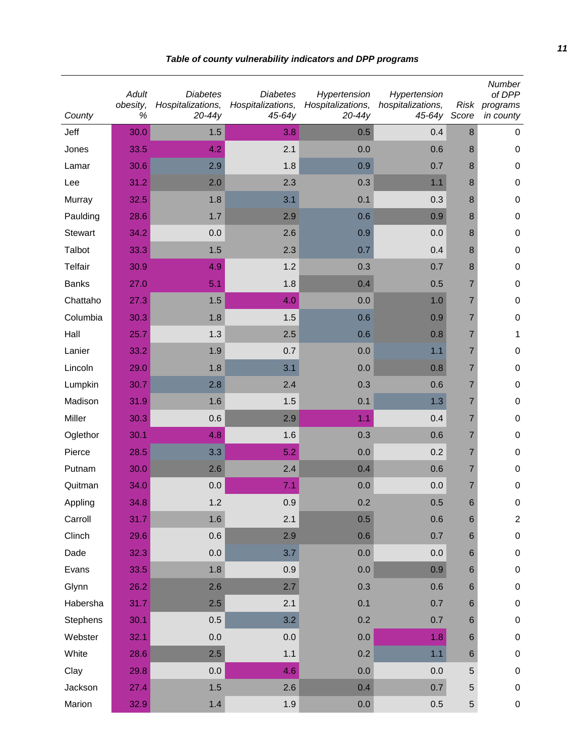| County         | Adult<br>obesity,<br>$\%$ | <b>Diabetes</b><br>Hospitalizations,<br>$20 - 44y$ | <b>Diabetes</b><br>Hospitalizations,<br>$45 - 64y$ | Hypertension<br>Hospitalizations,<br>$20-44y$ | Hypertension<br>hospitalizations,<br>45-64y Score | <b>Risk</b>    | Number<br>of DPP<br>programs<br>in county |
|----------------|---------------------------|----------------------------------------------------|----------------------------------------------------|-----------------------------------------------|---------------------------------------------------|----------------|-------------------------------------------|
| Jeff           | 30.0                      | 1.5                                                | 3.8                                                | 0.5                                           | 0.4                                               | 8              | 0                                         |
| Jones          | 33.5                      | 4.2                                                | 2.1                                                | 0.0                                           | 0.6                                               | 8              | $\mathbf 0$                               |
| Lamar          | 30.6                      | 2.9                                                | 1.8                                                | 0.9                                           | 0.7                                               | 8              | $\pmb{0}$                                 |
| Lee            | 31.2                      | 2.0                                                | 2.3                                                | 0.3                                           | 1.1                                               | 8              | $\pmb{0}$                                 |
| Murray         | 32.5                      | 1.8                                                | 3.1                                                | 0.1                                           | 0.3                                               | 8              | $\pmb{0}$                                 |
| Paulding       | 28.6                      | 1.7                                                | 2.9                                                | 0.6                                           | 0.9                                               | 8              | 0                                         |
| <b>Stewart</b> | 34.2                      | 0.0                                                | 2.6                                                | 0.9                                           | 0.0                                               | 8              | $\pmb{0}$                                 |
| Talbot         | 33.3                      | 1.5                                                | 2.3                                                | 0.7                                           | 0.4                                               | 8              | $\pmb{0}$                                 |
| <b>Telfair</b> | 30.9                      | 4.9                                                | 1.2                                                | 0.3                                           | 0.7                                               | 8              | $\pmb{0}$                                 |
| <b>Banks</b>   | 27.0                      | 5.1                                                | 1.8                                                | 0.4                                           | 0.5                                               | 7              | $\pmb{0}$                                 |
| Chattaho       | 27.3                      | 1.5                                                | 4.0                                                | 0.0                                           | 1.0                                               | 7              | $\pmb{0}$                                 |
| Columbia       | 30.3                      | 1.8                                                | 1.5                                                | 0.6                                           | 0.9                                               | $\overline{7}$ | $\pmb{0}$                                 |
| Hall           | 25.7                      | 1.3                                                | 2.5                                                | 0.6                                           | 0.8                                               | $\overline{7}$ | 1                                         |
| Lanier         | 33.2                      | 1.9                                                | 0.7                                                | 0.0                                           | 1.1                                               | $\overline{7}$ | $\boldsymbol{0}$                          |
| Lincoln        | 29.0                      | 1.8                                                | 3.1                                                | 0.0                                           | 0.8                                               | 7              | $\pmb{0}$                                 |
| Lumpkin        | 30.7                      | 2.8                                                | 2.4                                                | 0.3                                           | 0.6                                               | $\overline{7}$ | $\pmb{0}$                                 |
| Madison        | 31.9                      | 1.6                                                | 1.5                                                | 0.1                                           | 1.3                                               | $\overline{7}$ | $\pmb{0}$                                 |
| Miller         | 30.3                      | 0.6                                                | 2.9                                                | 1.1                                           | 0.4                                               | $\overline{7}$ | $\pmb{0}$                                 |
| Oglethor       | 30.1                      | 4.8                                                | 1.6                                                | 0.3                                           | 0.6                                               | $\overline{7}$ | $\pmb{0}$                                 |
| Pierce         | 28.5                      | 3.3                                                | 5.2                                                | 0.0                                           | 0.2                                               | $\overline{7}$ | $\pmb{0}$                                 |
| Putnam         | 30.0                      | 2.6                                                | 2.4                                                | 0.4                                           | 0.6                                               | 7              | $\pmb{0}$                                 |
| Quitman        | 34.0                      | 0.0                                                | 7.1                                                | 0.0                                           | 0.0                                               | $\overline{7}$ | $\pmb{0}$                                 |
| Appling        | 34.8                      | 1.2                                                | 0.9                                                | 0.2                                           | 0.5                                               | 6              | 0                                         |
| Carroll        | 31.7                      | 1.6                                                | 2.1                                                | 0.5                                           | 0.6                                               | $\,$ 6 $\,$    | $\overline{c}$                            |
| Clinch         | 29.6                      | 0.6                                                | 2.9                                                | 0.6                                           | 0.7                                               | 6              | $\pmb{0}$                                 |
| Dade           | 32.3                      | 0.0                                                | 3.7                                                | 0.0                                           | 0.0                                               | 6              | $\pmb{0}$                                 |
| Evans          | 33.5                      | 1.8                                                | 0.9                                                | 0.0                                           | 0.9                                               | 6              | $\pmb{0}$                                 |
| Glynn          | 26.2                      | 2.6                                                | 2.7                                                | 0.3                                           | 0.6                                               | 6              | $\pmb{0}$                                 |
| Habersha       | 31.7                      | 2.5                                                | 2.1                                                | 0.1                                           | 0.7                                               | 6              | $\pmb{0}$                                 |
| Stephens       | 30.1                      | 0.5                                                | 3.2                                                | 0.2                                           | 0.7                                               | 6              | $\pmb{0}$                                 |
| Webster        | 32.1                      | 0.0                                                | 0.0                                                | 0.0                                           | 1.8                                               | 6              | $\pmb{0}$                                 |
| White          | 28.6                      | 2.5                                                | 1.1                                                | 0.2                                           | 1.1                                               | $\,6$          | $\pmb{0}$                                 |
| Clay           | 29.8                      | 0.0                                                | 4.6                                                | 0.0                                           | 0.0                                               | 5              | $\pmb{0}$                                 |
| Jackson        | 27.4                      | 1.5                                                | 2.6                                                | 0.4                                           | 0.7                                               | $\mathbf 5$    | $\pmb{0}$                                 |
| Marion         | 32.9                      | $1.4$                                              | 1.9                                                | 0.0                                           | 0.5                                               | 5              | $\pmb{0}$                                 |